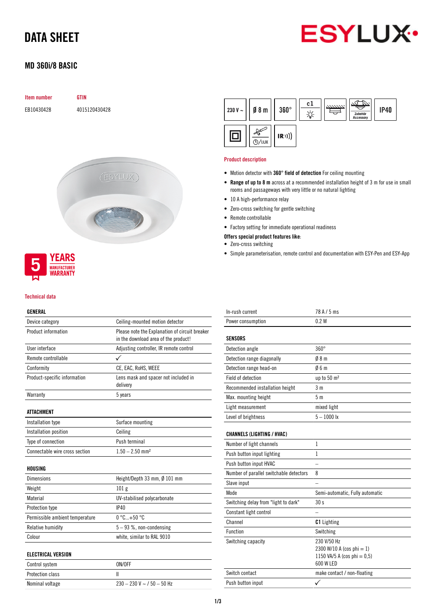# DATA SHEET



## MD 360i/8 BASIC

| Item number |
|-------------|
|             |

EB10430428 4015120430428

**GTIN** 





### Technical data

## GENERAL

| Device category                 | Ceiling-mounted motion detector                                                        |  |  |
|---------------------------------|----------------------------------------------------------------------------------------|--|--|
| Product information             | Please note the Explanation of circuit breaker<br>in the download area of the product! |  |  |
| User interface                  | Adjusting controller, IR remote control                                                |  |  |
| Remote controllable             |                                                                                        |  |  |
| Conformity                      | CE, EAC, RoHS, WEEE                                                                    |  |  |
| Product-specific information    | Lens mask and spacer not included in<br>delivery                                       |  |  |
| Warranty                        | 5 years                                                                                |  |  |
| <b>ATTACHMENT</b>               |                                                                                        |  |  |
| Installation type               | Surface mounting                                                                       |  |  |
| Installation position           | Ceiling                                                                                |  |  |
| Type of connection              | Push terminal                                                                          |  |  |
| Connectable wire cross section  | $1.50 - 2.50$ mm <sup>2</sup>                                                          |  |  |
| HOUSING                         |                                                                                        |  |  |
| <b>Dimensions</b>               | Height/Depth 33 mm, Ø 101 mm                                                           |  |  |
| Weight                          | 101 <sub>g</sub>                                                                       |  |  |
| Material                        | UV-stabilised polycarbonate                                                            |  |  |
| Protection type                 | IP40                                                                                   |  |  |
| Permissible ambient temperature | $0^{\circ}$ C+50 $^{\circ}$ C                                                          |  |  |
| Relative humidity               | $5-93$ %, non-condensing                                                               |  |  |
| Colour                          | white, similar to RAL 9010                                                             |  |  |
| <b>ELECTRICAL VERSION</b>       |                                                                                        |  |  |
| Control system                  | ON/OFF                                                                                 |  |  |
| Protection class                | Ш                                                                                      |  |  |
| Nominal voltage                 | $230 - 230$ V ~ / $50 - 50$ Hz                                                         |  |  |



#### Product description

- Motion detector with 360° field of detection For ceiling mounting
- Range of up to 8 m across at a recommended installation height of 3 m for use in small rooms and passageways with very little or no natural lighting
- 10 A high-performance relay
- Zero-cross switching for gentle switching
- Remote controllable
- Factory setting for immediate operational readiness

### Offers special product features like:

- Zero-cross switching
- Simple parameterisation, remote control and documentation with ESY-Pen and ESY-App

| In-rush current                         | 78 A / 5 ms                                                                          |
|-----------------------------------------|--------------------------------------------------------------------------------------|
| Power consumption                       | 0.2W                                                                                 |
| <b>SENSORS</b>                          |                                                                                      |
| Detection angle                         | $360^\circ$                                                                          |
| Detection range diagonally              | Ø8m                                                                                  |
| Detection range head-on                 | 06m                                                                                  |
| Field of detection                      | up to 50 m <sup>2</sup>                                                              |
| Recommended installation height         | 3 m                                                                                  |
| Max. mounting height                    | 5 <sub>m</sub>                                                                       |
| Light measurement                       | mixed light                                                                          |
| Level of brightness                     | $5 - 1000$ lx                                                                        |
| <b>CHANNELS (LIGHTING / HVAC)</b>       |                                                                                      |
| Number of light channels                | 1                                                                                    |
| Push button input lighting              | $\mathbf{1}$                                                                         |
| Push button input HVAC                  |                                                                                      |
| Number of parallel switchable detectors | 8                                                                                    |
| Slave input                             |                                                                                      |
| Mode                                    | Semi-automatic, Fully automatic                                                      |
| Switching delay from "light to dark"    | 30 <sub>s</sub>                                                                      |
| Constant light control                  |                                                                                      |
| Channel                                 | <b>C1</b> Lighting                                                                   |
| Function                                | Switching                                                                            |
| Switching capacity                      | 230 V/50 Hz<br>2300 W/10 A (cos phi = 1)<br>1150 VA/5 A (cos phi = 0,5)<br>600 W LED |
| Switch contact                          | make contact / non-floating                                                          |
| Push button input                       |                                                                                      |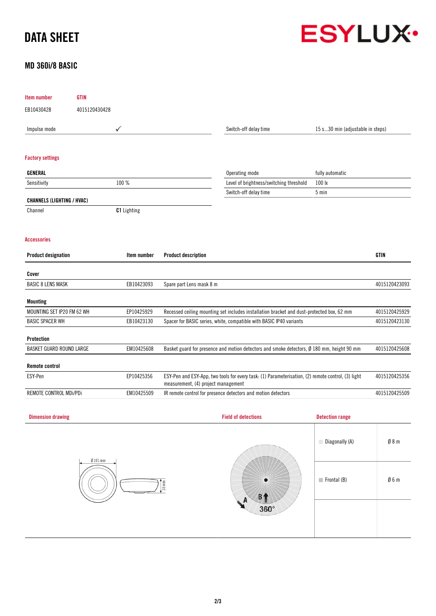# DATA SHEET



# MD 360i/8 BASIC

| Item number                       | <b>GTIN</b>   |                    |                                                                                                                                           |                                                                                            |                                  |                 |
|-----------------------------------|---------------|--------------------|-------------------------------------------------------------------------------------------------------------------------------------------|--------------------------------------------------------------------------------------------|----------------------------------|-----------------|
| EB10430428                        | 4015120430428 |                    |                                                                                                                                           |                                                                                            |                                  |                 |
| Impulse mode                      |               | ✓                  |                                                                                                                                           | Switch-off delay time                                                                      | 15 s30 min (adjustable in steps) |                 |
| <b>Factory settings</b>           |               |                    |                                                                                                                                           |                                                                                            |                                  |                 |
| GENERAL                           |               |                    |                                                                                                                                           | Operating mode                                                                             | fully automatic                  |                 |
| Sensitivity                       |               | 100 %              |                                                                                                                                           | Level of brightness/switching threshold                                                    | 100 lx                           |                 |
| <b>CHANNELS (LIGHTING / HVAC)</b> |               |                    |                                                                                                                                           | Switch-off delay time                                                                      | 5 min                            |                 |
| Channel                           |               | <b>C1</b> Lighting |                                                                                                                                           |                                                                                            |                                  |                 |
| <b>Accessories</b>                |               |                    |                                                                                                                                           |                                                                                            |                                  |                 |
| <b>Product designation</b>        |               | Item number        | <b>Product description</b>                                                                                                                |                                                                                            |                                  | <b>GTIN</b>     |
| Cover                             |               |                    |                                                                                                                                           |                                                                                            |                                  |                 |
| <b>BASIC 8 LENS MASK</b>          |               | EB10423093         | Spare part Lens mask 8 m                                                                                                                  |                                                                                            |                                  | 4015120423093   |
| <b>Mounting</b>                   |               |                    |                                                                                                                                           |                                                                                            |                                  |                 |
| MOUNTING SET IP20 FM 62 WH        |               | EP10425929         |                                                                                                                                           | Recessed ceiling mounting set includes installation bracket and dust-protected box, 62 mm  |                                  | 4015120425929   |
| <b>BASIC SPACER WH</b>            |               | EB10423130         |                                                                                                                                           | Spacer for BASIC series, white, compatible with BASIC IP40 variants                        |                                  | 4015120423130   |
| Protection                        |               |                    |                                                                                                                                           |                                                                                            |                                  |                 |
| BASKET GUARD ROUND LARGE          |               | EM10425608         |                                                                                                                                           | Basket guard for presence and motion detectors and smoke detectors, Ø 180 mm, height 90 mm |                                  | 4015120425608   |
| <b>Remote control</b>             |               |                    |                                                                                                                                           |                                                                                            |                                  |                 |
| ESY-Pen                           |               | EP10425356         | ESY-Pen and ESY-App, two tools for every task: (1) Parameterisation, (2) remote control, (3) light<br>measurement, (4) project management | 4015120425356                                                                              |                                  |                 |
| REMOTE CONTROL MDi/PDi            |               | EM10425509         |                                                                                                                                           | IR remote control for presence detectors and motion detectors                              |                                  | 4015120425509   |
| <b>Dimension drawing</b>          |               |                    |                                                                                                                                           | <b>Field of detections</b>                                                                 | <b>Detection range</b>           |                 |
|                                   |               |                    |                                                                                                                                           |                                                                                            | Diagonally (A)                   | $\emptyset$ 8 m |
|                                   | $Ø101$ mm     |                    | $\frac{1}{33}$ mm                                                                                                                         | B <sub>1</sub><br>360°                                                                     | $\blacksquare$ Frontal (B)       | $\emptyset$ 6 m |